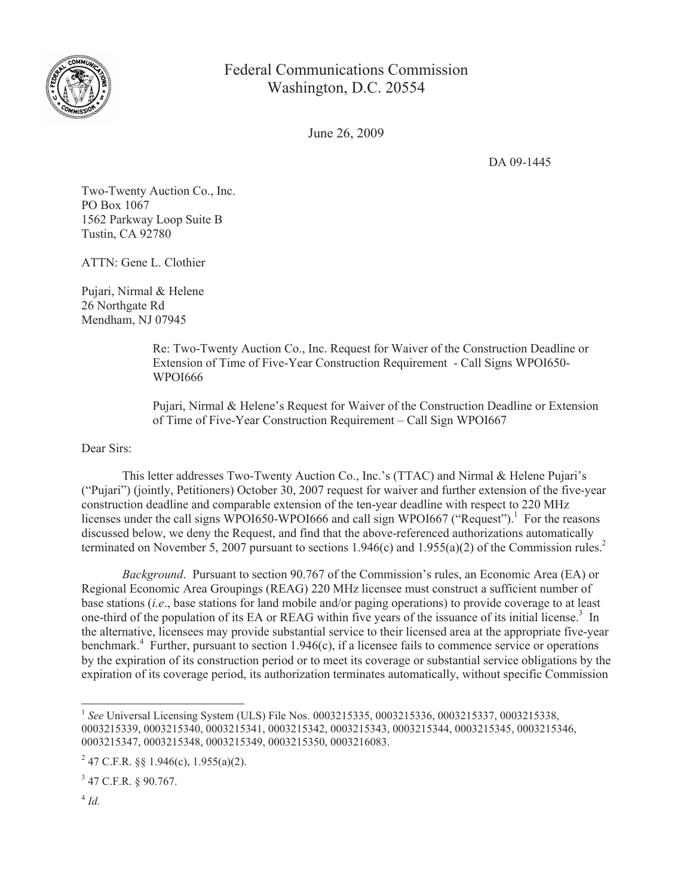

## Federal Communications Commission Washington, D.C. 20554

June 26, 2009

DA 09-1445

Two-Twenty Auction Co., Inc. PO Box 1067 1562 Parkway Loop Suite B Tustin, CA 92780

ATTN: Gene L. Clothier

Pujari, Nirmal & Helene 26 Northgate Rd Mendham, NJ 07945

> Re: Two-Twenty Auction Co., Inc. Request for Waiver of the Construction Deadline or Extension of Time of Five-Year Construction Requirement - Call Signs WPOI650- WPOI666

Pujari, Nirmal & Helene's Request for Waiver of the Construction Deadline or Extension of Time of Five-Year Construction Requirement – Call Sign WPOI667

Dear Sirs:

This letter addresses Two-Twenty Auction Co., Inc.'s (TTAC) and Nirmal & Helene Pujari's ("Pujari") (jointly, Petitioners) October 30, 2007 request for waiver and further extension of the five-year construction deadline and comparable extension of the ten-year deadline with respect to 220 MHz licenses under the call signs WPOI650-WPOI666 and call sign WPOI667 ("Request").<sup>1</sup> For the reasons discussed below, we deny the Request, and find that the above-referenced authorizations automatically terminated on November 5, 2007 pursuant to sections  $1.946(c)$  and  $1.955(a)(2)$  of the Commission rules.<sup>2</sup>

*Background*. Pursuant to section 90.767 of the Commission's rules, an Economic Area (EA) or Regional Economic Area Groupings (REAG) 220 MHz licensee must construct a sufficient number of base stations (*i.e*., base stations for land mobile and/or paging operations) to provide coverage to at least one-third of the population of its EA or REAG within five years of the issuance of its initial license.<sup>3</sup> In the alternative, licensees may provide substantial service to their licensed area at the appropriate five-year benchmark.<sup>4</sup> Further, pursuant to section 1.946(c), if a licensee fails to commence service or operations by the expiration of its construction period or to meet its coverage or substantial service obligations by the expiration of its coverage period, its authorization terminates automatically, without specific Commission

<sup>&</sup>lt;sup>1</sup> See Universal Licensing System (ULS) File Nos. 0003215335, 0003215336, 0003215337, 0003215338, 0003215339, 0003215340, 0003215341, 0003215342, 0003215343, 0003215344, 0003215345, 0003215346, 0003215347, 0003215348, 0003215349, 0003215350, 0003216083.

<sup>&</sup>lt;sup>2</sup> 47 C.F.R. §§ 1.946(c), 1.955(a)(2).

 $3$  47 C.F.R. § 90.767.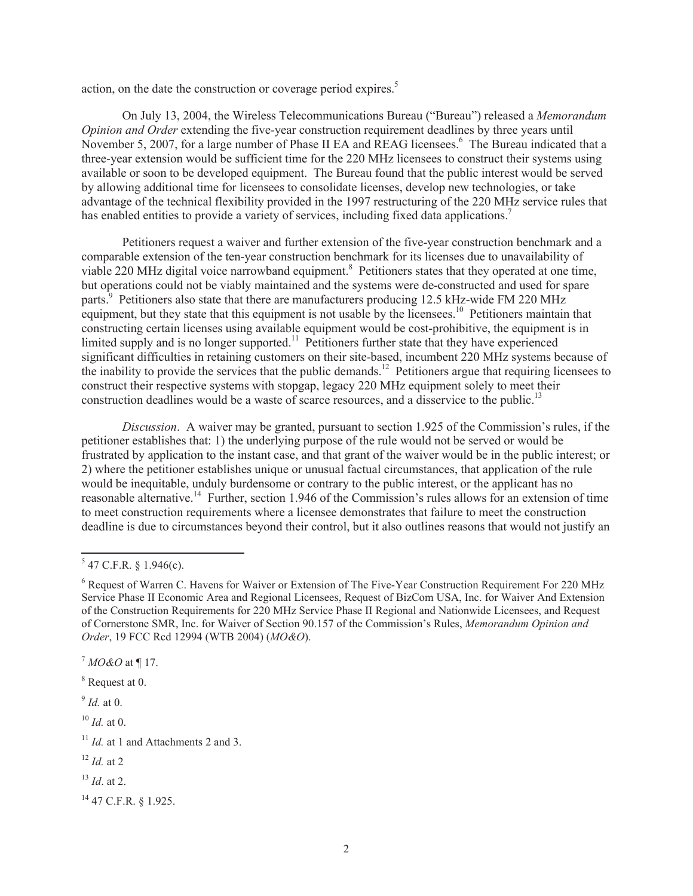action, on the date the construction or coverage period expires.<sup>5</sup>

On July 13, 2004, the Wireless Telecommunications Bureau ("Bureau") released a *Memorandum Opinion and Order* extending the five-year construction requirement deadlines by three years until November 5, 2007, for a large number of Phase II EA and REAG licensees.<sup>6</sup> The Bureau indicated that a three-year extension would be sufficient time for the 220 MHz licensees to construct their systems using available or soon to be developed equipment. The Bureau found that the public interest would be served by allowing additional time for licensees to consolidate licenses, develop new technologies, or take advantage of the technical flexibility provided in the 1997 restructuring of the 220 MHz service rules that has enabled entities to provide a variety of services, including fixed data applications.<sup>7</sup>

Petitioners request a waiver and further extension of the five-year construction benchmark and a comparable extension of the ten-year construction benchmark for its licenses due to unavailability of viable 220 MHz digital voice narrowband equipment.<sup>8</sup> Petitioners states that they operated at one time, but operations could not be viably maintained and the systems were de-constructed and used for spare parts.<sup>9</sup> Petitioners also state that there are manufacturers producing 12.5 kHz-wide FM 220 MHz equipment, but they state that this equipment is not usable by the licensees.<sup>10</sup> Petitioners maintain that constructing certain licenses using available equipment would be cost-prohibitive, the equipment is in limited supply and is no longer supported.<sup>11</sup> Petitioners further state that they have experienced significant difficulties in retaining customers on their site-based, incumbent 220 MHz systems because of the inability to provide the services that the public demands.<sup>12</sup> Petitioners argue that requiring licensees to construct their respective systems with stopgap, legacy 220 MHz equipment solely to meet their construction deadlines would be a waste of scarce resources, and a disservice to the public.<sup>13</sup>

*Discussion*. A waiver may be granted, pursuant to section 1.925 of the Commission's rules, if the petitioner establishes that: 1) the underlying purpose of the rule would not be served or would be frustrated by application to the instant case, and that grant of the waiver would be in the public interest; or 2) where the petitioner establishes unique or unusual factual circumstances, that application of the rule would be inequitable, unduly burdensome or contrary to the public interest, or the applicant has no reasonable alternative.<sup>14</sup> Further, section 1.946 of the Commission's rules allows for an extension of time to meet construction requirements where a licensee demonstrates that failure to meet the construction deadline is due to circumstances beyond their control, but it also outlines reasons that would not justify an

9 *Id.* at 0.

- <sup>12</sup> *Id.* at 2
- <sup>13</sup> *Id*. at 2.
- <sup>14</sup> 47 C.F.R. § 1.925.

 $5$  47 C.F.R. § 1.946(c).

<sup>6</sup> Request of Warren C. Havens for Waiver or Extension of The Five-Year Construction Requirement For 220 MHz Service Phase II Economic Area and Regional Licensees, Request of BizCom USA, Inc. for Waiver And Extension of the Construction Requirements for 220 MHz Service Phase II Regional and Nationwide Licensees, and Request of Cornerstone SMR, Inc. for Waiver of Section 90.157 of the Commission's Rules, *Memorandum Opinion and Order*, 19 FCC Rcd 12994 (WTB 2004) (*MO&O*).

<sup>7</sup> *MO&O* at ¶ 17.

<sup>8</sup> Request at 0.

<sup>10</sup> *Id.* at 0.

<sup>&</sup>lt;sup>11</sup> *Id.* at 1 and Attachments 2 and 3.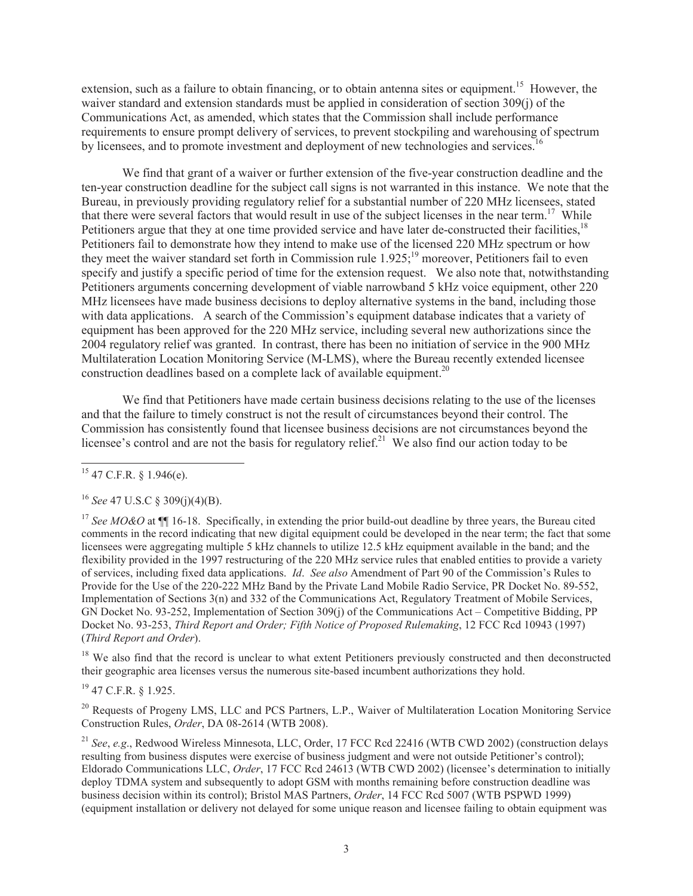extension, such as a failure to obtain financing, or to obtain antenna sites or equipment.<sup>15</sup> However, the waiver standard and extension standards must be applied in consideration of section 309(j) of the Communications Act, as amended, which states that the Commission shall include performance requirements to ensure prompt delivery of services, to prevent stockpiling and warehousing of spectrum by licensees, and to promote investment and deployment of new technologies and services.<sup>16</sup>

We find that grant of a waiver or further extension of the five-year construction deadline and the ten-year construction deadline for the subject call signs is not warranted in this instance. We note that the Bureau, in previously providing regulatory relief for a substantial number of 220 MHz licensees, stated that there were several factors that would result in use of the subject licenses in the near term.<sup>17</sup> While Petitioners argue that they at one time provided service and have later de-constructed their facilities,<sup>18</sup> Petitioners fail to demonstrate how they intend to make use of the licensed 220 MHz spectrum or how they meet the waiver standard set forth in Commission rule  $1.925$ ;<sup>19</sup> moreover, Petitioners fail to even specify and justify a specific period of time for the extension request. We also note that, notwithstanding Petitioners arguments concerning development of viable narrowband 5 kHz voice equipment, other 220 MHz licensees have made business decisions to deploy alternative systems in the band, including those with data applications. A search of the Commission's equipment database indicates that a variety of equipment has been approved for the 220 MHz service, including several new authorizations since the 2004 regulatory relief was granted. In contrast, there has been no initiation of service in the 900 MHz Multilateration Location Monitoring Service (M-LMS), where the Bureau recently extended licensee construction deadlines based on a complete lack of available equipment.<sup>20</sup>

We find that Petitioners have made certain business decisions relating to the use of the licenses and that the failure to timely construct is not the result of circumstances beyond their control. The Commission has consistently found that licensee business decisions are not circumstances beyond the licensee's control and are not the basis for regulatory relief.<sup>21</sup> We also find our action today to be

<sup>18</sup> We also find that the record is unclear to what extent Petitioners previously constructed and then deconstructed their geographic area licenses versus the numerous site-based incumbent authorizations they hold.

<sup>19</sup> 47 C.F.R. § 1.925.

<sup>20</sup> Requests of Progeny LMS, LLC and PCS Partners, L.P., Waiver of Multilateration Location Monitoring Service Construction Rules, *Order*, DA 08-2614 (WTB 2008).

<sup>21</sup> *See*, *e.g*., Redwood Wireless Minnesota, LLC, Order, 17 FCC Rcd 22416 (WTB CWD 2002) (construction delays resulting from business disputes were exercise of business judgment and were not outside Petitioner's control); Eldorado Communications LLC, *Order*, 17 FCC Rcd 24613 (WTB CWD 2002) (licensee's determination to initially deploy TDMA system and subsequently to adopt GSM with months remaining before construction deadline was business decision within its control); Bristol MAS Partners, *Order*, 14 FCC Rcd 5007 (WTB PSPWD 1999) (equipment installation or delivery not delayed for some unique reason and licensee failing to obtain equipment was

 $15$  47 C.F.R. § 1.946(e).

<sup>16</sup> *See* 47 U.S.C § 309(j)(4)(B).

<sup>&</sup>lt;sup>17</sup> See MO&O at ¶ 16-18. Specifically, in extending the prior build-out deadline by three years, the Bureau cited comments in the record indicating that new digital equipment could be developed in the near term; the fact that some licensees were aggregating multiple 5 kHz channels to utilize 12.5 kHz equipment available in the band; and the flexibility provided in the 1997 restructuring of the 220 MHz service rules that enabled entities to provide a variety of services, including fixed data applications. *Id*. *See also* Amendment of Part 90 of the Commission's Rules to Provide for the Use of the 220-222 MHz Band by the Private Land Mobile Radio Service, PR Docket No. 89-552, Implementation of Sections 3(n) and 332 of the Communications Act, Regulatory Treatment of Mobile Services, GN Docket No. 93-252, Implementation of Section 309(j) of the Communications Act – Competitive Bidding, PP Docket No. 93-253, *Third Report and Order; Fifth Notice of Proposed Rulemaking*, 12 FCC Rcd 10943 (1997) (*Third Report and Order*).